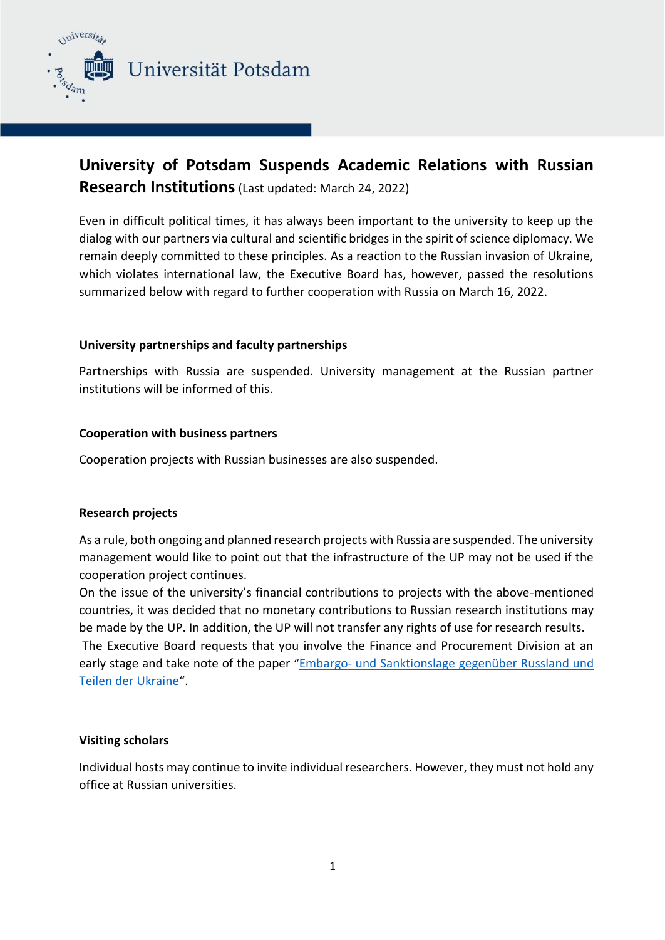

Universität Potsdam

# **University of Potsdam Suspends Academic Relations with Russian Research Institutions**(Last updated: March 24, 2022)

Even in difficult political times, it has always been important to the university to keep up the dialog with our partners via cultural and scientific bridges in the spirit of science diplomacy. We remain deeply committed to these principles. As a reaction to the Russian invasion of Ukraine, which violates international law, the Executive Board has, however, passed the resolutions summarized below with regard to further cooperation with Russia on March 16, 2022.

# **University partnerships and faculty partnerships**

Partnerships with Russia are suspended. University management at the Russian partner institutions will be informed of this.

# **Cooperation with business partners**

Cooperation projects with Russian businesses are also suspended.

# **Research projects**

As a rule, both ongoing and planned research projects with Russia are suspended. The university management would like to point out that the infrastructure of the UP may not be used if the cooperation project continues.

On the issue of the university's financial contributions to projects with the above-mentioned countries, it was decided that no monetary contributions to Russian research institutions may be made by the UP. In addition, the UP will not transfer any rights of use for research results. The Executive Board requests that you involve the Finance and Procurement Division at an early stage and take note of the paper ["](https://www.uni-potsdam.de/fileadmin/projects/presse/docs/Ukraine/2022-03-14_Santkionen_Russland_Auswirkungen.pdf)Embargo- [und](https://www.uni-potsdam.de/fileadmin/projects/presse/docs/Ukraine/2022-03-14_Santkionen_Russland_Auswirkungen.pdf) [Sanktionslage](https://www.uni-potsdam.de/fileadmin/projects/presse/docs/Ukraine/2022-03-14_Santkionen_Russland_Auswirkungen.pdf) [gegenüber](https://www.uni-potsdam.de/fileadmin/projects/presse/docs/Ukraine/2022-03-14_Santkionen_Russland_Auswirkungen.pdf) [Russland](https://www.uni-potsdam.de/fileadmin/projects/presse/docs/Ukraine/2022-03-14_Santkionen_Russland_Auswirkungen.pdf) und [Teilen](https://www.uni-potsdam.de/fileadmin/projects/presse/docs/Ukraine/2022-03-14_Santkionen_Russland_Auswirkungen.pdf) [der](https://www.uni-potsdam.de/fileadmin/projects/presse/docs/Ukraine/2022-03-14_Santkionen_Russland_Auswirkungen.pdf) [Ukraine](https://www.uni-potsdam.de/fileadmin/projects/presse/docs/Ukraine/2022-03-14_Santkionen_Russland_Auswirkungen.pdf)["](https://www.uni-potsdam.de/fileadmin/projects/presse/docs/Ukraine/2022-03-14_Santkionen_Russland_Auswirkungen.pdf).

# **Visiting scholars**

Individual hosts may continue to invite individual researchers. However, they must not hold any office at Russian universities.